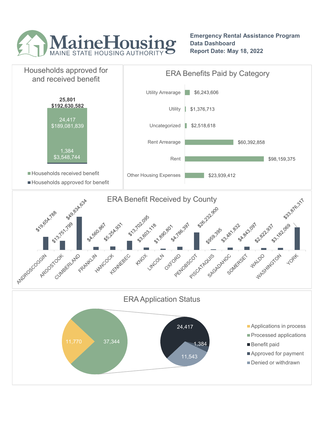

Emergency Rental Assistance Program Data Dashboard Report Date: May 18, 2022